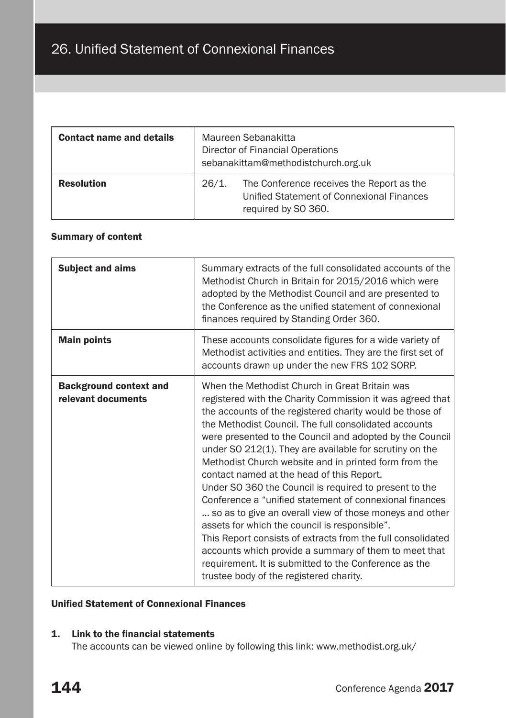| <b>Contact name and details</b> | Maureen Sebanakitta<br>Director of Financial Operations<br>sebanakittam@methodistchurch.org.uk |                                                                                                               |  |
|---------------------------------|------------------------------------------------------------------------------------------------|---------------------------------------------------------------------------------------------------------------|--|
| <b>Resolution</b>               | 26/1.                                                                                          | The Conference receives the Report as the<br>Unified Statement of Connexional Finances<br>required by SO 360. |  |

# Summary of content

| <b>Subject and aims</b>                             | Summary extracts of the full consolidated accounts of the<br>Methodist Church in Britain for 2015/2016 which were<br>adopted by the Methodist Council and are presented to<br>the Conference as the unified statement of connexional<br>finances required by Standing Order 360.                                                                                                                                                                                                                                                                                                                                                                                                                                                                                                                                                                                                                                           |
|-----------------------------------------------------|----------------------------------------------------------------------------------------------------------------------------------------------------------------------------------------------------------------------------------------------------------------------------------------------------------------------------------------------------------------------------------------------------------------------------------------------------------------------------------------------------------------------------------------------------------------------------------------------------------------------------------------------------------------------------------------------------------------------------------------------------------------------------------------------------------------------------------------------------------------------------------------------------------------------------|
| <b>Main points</b>                                  | These accounts consolidate figures for a wide variety of<br>Methodist activities and entities. They are the first set of<br>accounts drawn up under the new FRS 102 SORP.                                                                                                                                                                                                                                                                                                                                                                                                                                                                                                                                                                                                                                                                                                                                                  |
| <b>Background context and</b><br>relevant documents | When the Methodist Church in Great Britain was<br>registered with the Charity Commission it was agreed that<br>the accounts of the registered charity would be those of<br>the Methodist Council. The full consolidated accounts<br>were presented to the Council and adopted by the Council<br>under SO 212(1). They are available for scrutiny on the<br>Methodist Church website and in printed form from the<br>contact named at the head of this Report.<br>Under SO 360 the Council is required to present to the<br>Conference a "unified statement of connexional finances<br>so as to give an overall view of those moneys and other<br>assets for which the council is responsible".<br>This Report consists of extracts from the full consolidated<br>accounts which provide a summary of them to meet that<br>requirement. It is submitted to the Conference as the<br>trustee body of the registered charity. |

# Unified Statement of Connexional Finances

# 1. Link to the financial statements

The accounts can be viewed online by following this link: www.methodist.org.uk/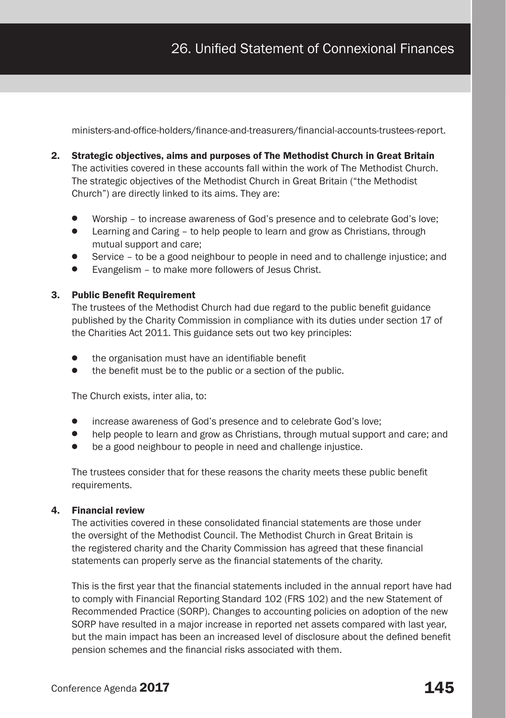ministers-and-office-holders/finance-and-treasurers/financial-accounts-trustees-report.

- 2. Strategic objectives, aims and purposes of The Methodist Church in Great Britain The activities covered in these accounts fall within the work of The Methodist Church. The strategic objectives of the Methodist Church in Great Britain ("the Methodist Church") are directly linked to its aims. They are:
	- Worship to increase awareness of God's presence and to celebrate God's love;
	- Learning and Caring to help people to learn and grow as Christians, through mutual support and care;
	- Service to be a good neighbour to people in need and to challenge injustice; and
	- Evangelism to make more followers of Jesus Christ.

#### 3. Public Benefit Requirement

The trustees of the Methodist Church had due regard to the public benefit guidance published by the Charity Commission in compliance with its duties under section 17 of the Charities Act 2011. This guidance sets out two key principles:

- the organisation must have an identifiable benefit
- the benefit must be to the public or a section of the public.

The Church exists, inter alia, to:

- increase awareness of God's presence and to celebrate God's love;
- help people to learn and grow as Christians, through mutual support and care; and
- be a good neighbour to people in need and challenge injustice.

The trustees consider that for these reasons the charity meets these public benefit requirements.

#### 4. Financial review

The activities covered in these consolidated financial statements are those under the oversight of the Methodist Council. The Methodist Church in Great Britain is the registered charity and the Charity Commission has agreed that these financial statements can properly serve as the financial statements of the charity.

This is the first year that the financial statements included in the annual report have had to comply with Financial Reporting Standard 102 (FRS 102) and the new Statement of Recommended Practice (SORP). Changes to accounting policies on adoption of the new SORP have resulted in a major increase in reported net assets compared with last year, but the main impact has been an increased level of disclosure about the defined benefit pension schemes and the financial risks associated with them.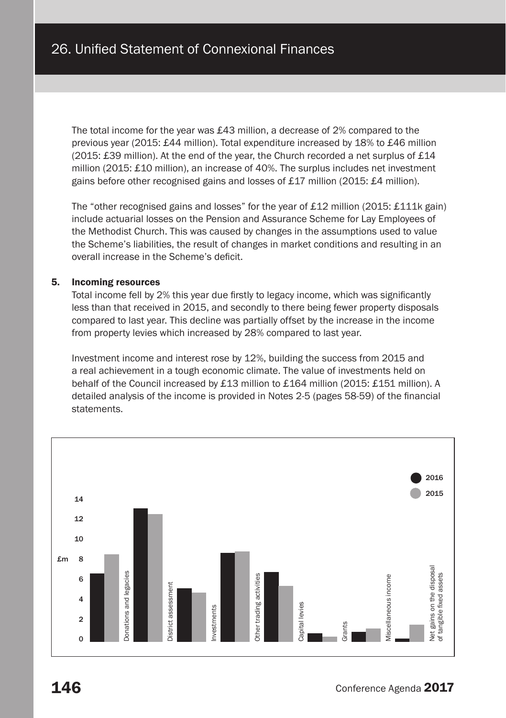The total income for the year was £43 million, a decrease of 2% compared to the previous year (2015: £44 million). Total expenditure increased by 18% to £46 million (2015: £39 million). At the end of the year, the Church recorded a net surplus of £14 million (2015: £10 million), an increase of 40%. The surplus includes net investment gains before other recognised gains and losses of £17 million (2015: £4 million).

The "other recognised gains and losses" for the year of £12 million (2015: £111k gain) include actuarial losses on the Pension and Assurance Scheme for Lay Employees of the Methodist Church. This was caused by changes in the assumptions used to value the Scheme's liabilities, the result of changes in market conditions and resulting in an overall increase in the Scheme's deficit.

#### 5. Incoming resources

Total income fell by 2% this year due firstly to legacy income, which was significantly less than that received in 2015, and secondly to there being fewer property disposals compared to last year. This decline was partially offset by the increase in the income from property levies which increased by 28% compared to last year.

Investment income and interest rose by 12%, building the success from 2015 and a real achievement in a tough economic climate. The value of investments held on behalf of the Council increased by £13 million to £164 million (2015: £151 million). A detailed analysis of the income is provided in Notes 2-5 (pages 58-59) of the financial statements.

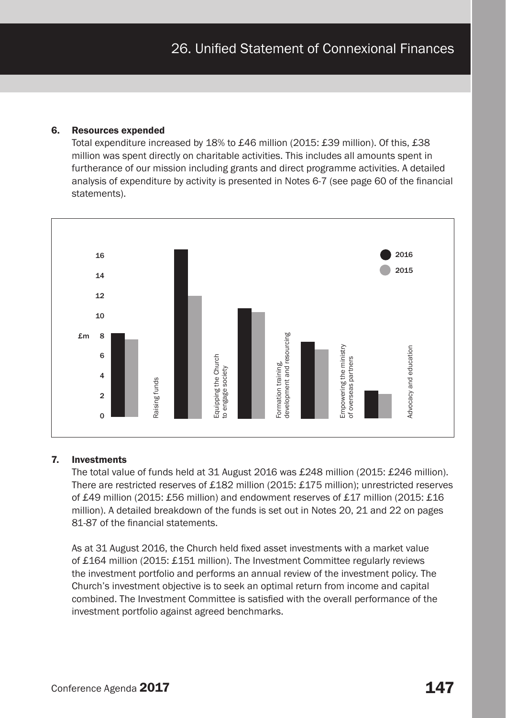#### 6. Resources expended

Total expenditure increased by 18% to £46 million (2015: £39 million). Of this, £38 million was spent directly on charitable activities. This includes all amounts spent in furtherance of our mission including grants and direct programme activities. A detailed analysis of expenditure by activity is presented in Notes 6-7 (see page 60 of the financial statements).



#### 7. Investments

The total value of funds held at 31 August 2016 was £248 million (2015: £246 million). There are restricted reserves of £182 million (2015: £175 million); unrestricted reserves of £49 million (2015: £56 million) and endowment reserves of £17 million (2015: £16 million). A detailed breakdown of the funds is set out in Notes 20, 21 and 22 on pages 81-87 of the financial statements.

As at 31 August 2016, the Church held fixed asset investments with a market value of £164 million (2015: £151 million). The Investment Committee regularly reviews the investment portfolio and performs an annual review of the investment policy. The Church's investment objective is to seek an optimal return from income and capital combined. The Investment Committee is satisfied with the overall performance of the investment portfolio against agreed benchmarks.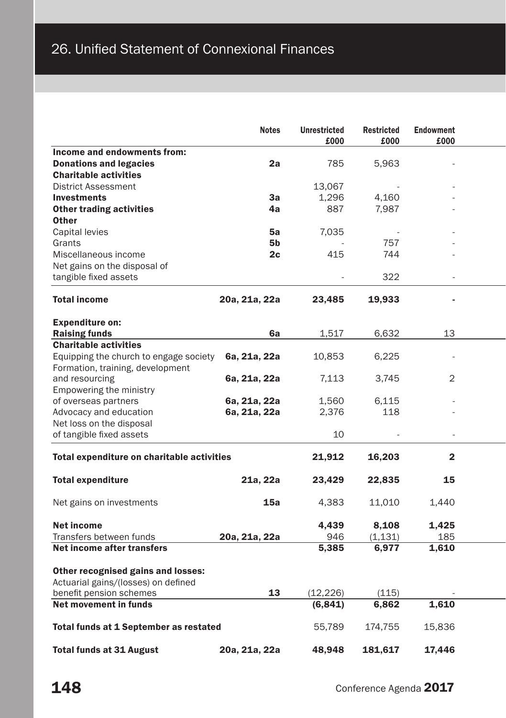|                                                                                                      | <b>Notes</b>  | <b>Unrestricted</b><br>£000 | <b>Restricted</b><br>£000 | Endowment<br>£000 |
|------------------------------------------------------------------------------------------------------|---------------|-----------------------------|---------------------------|-------------------|
| Income and endowments from:                                                                          |               |                             |                           |                   |
| <b>Donations and legacies</b>                                                                        | 2a            | 785                         | 5,963                     |                   |
| <b>Charitable activities</b>                                                                         |               |                             |                           |                   |
| <b>District Assessment</b>                                                                           |               | 13,067                      |                           |                   |
| <b>Investments</b>                                                                                   | 3a            | 1,296                       | 4,160                     |                   |
| <b>Other trading activities</b>                                                                      | 4a            | 887                         | 7,987                     |                   |
| <b>Other</b>                                                                                         |               |                             |                           |                   |
| Capital levies                                                                                       | 5a            | 7,035                       | $\sim$                    |                   |
| Grants                                                                                               | 5b            |                             | 757                       |                   |
| Miscellaneous income                                                                                 | 2c            | 415                         | 744                       |                   |
|                                                                                                      |               |                             |                           |                   |
| Net gains on the disposal of                                                                         |               |                             |                           |                   |
| tangible fixed assets                                                                                |               |                             | 322                       | ÷.                |
| <b>Total income</b>                                                                                  | 20a, 21a, 22a | 23,485                      | 19,933                    |                   |
| <b>Expenditure on:</b>                                                                               |               |                             |                           |                   |
| <b>Raising funds</b>                                                                                 | 6a            | 1,517                       | 6,632                     | 13                |
| <b>Charitable activities</b>                                                                         |               |                             |                           |                   |
| Equipping the church to engage society                                                               | 6a, 21a, 22a  | 10,853                      | 6,225                     | ä,                |
| Formation, training, development                                                                     |               |                             |                           |                   |
|                                                                                                      | 6a, 21a, 22a  | 7,113                       | 3,745                     | $\overline{2}$    |
| and resourcing                                                                                       |               |                             |                           |                   |
| Empowering the ministry                                                                              |               |                             |                           |                   |
| of overseas partners                                                                                 | 6a, 21a, 22a  | 1,560                       | 6,115                     |                   |
| Advocacy and education                                                                               | 6a, 21a, 22a  | 2,376                       | 118                       |                   |
| Net loss on the disposal                                                                             |               |                             |                           |                   |
| of tangible fixed assets                                                                             |               | 10                          | $\sim$                    | $\sim$            |
|                                                                                                      |               |                             |                           |                   |
| Total expenditure on charitable activities                                                           |               | 21,912                      | 16,203                    | $\overline{2}$    |
| <b>Total expenditure</b>                                                                             | 21a, 22a      | 23,429                      | 22,835                    | 15                |
| Net gains on investments                                                                             | 15a           | 4,383                       | 11,010                    | 1,440             |
|                                                                                                      |               |                             |                           |                   |
| Net income                                                                                           |               |                             | 8,108                     |                   |
|                                                                                                      |               | 4,439                       |                           | 1,425             |
| Transfers between funds                                                                              | 20a, 21a, 22a | 946                         | (1, 131)                  | 185               |
| Net income after transfers                                                                           |               | 5,385                       | 6,977                     | 1,610             |
| Other recognised gains and losses:<br>Actuarial gains/(losses) on defined<br>benefit pension schemes | 13            | (12, 226)                   | (115)                     |                   |
| Net movement in funds                                                                                |               | (6,841)                     | 6,862                     | 1,610             |
|                                                                                                      |               |                             |                           |                   |
|                                                                                                      |               |                             |                           |                   |
| Total funds at 1 September as restated                                                               |               | 55,789                      | 174,755                   | 15,836            |
|                                                                                                      |               |                             |                           |                   |
| <b>Total funds at 31 August</b>                                                                      | 20a, 21a, 22a | 48,948                      | 181,617                   | 17,446            |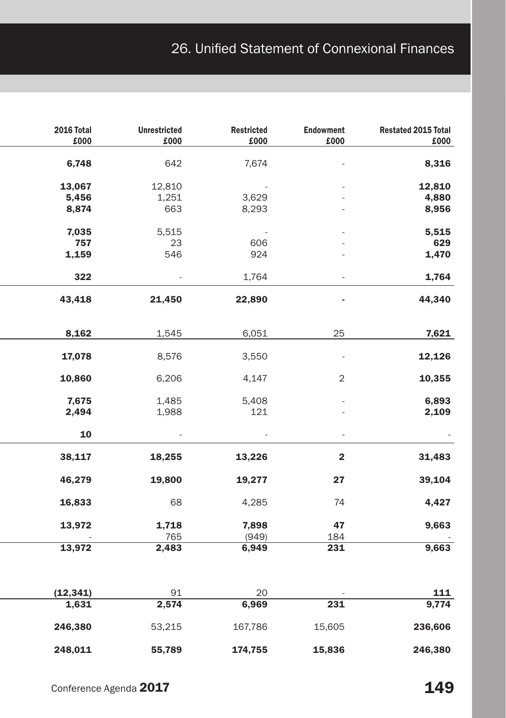# 26. Unified Statement of Connexional Finances

| Restated 2015 Total<br>£000 | Endowment<br>$\pmb{\pounds}000$ | <b>Restricted</b><br>$\pounds000$ | Unrestricted<br>£000     | 2016 Total<br>$\pmb{\pounds}000$ |
|-----------------------------|---------------------------------|-----------------------------------|--------------------------|----------------------------------|
| 8,316                       |                                 | 7,674                             | 642                      | 6,748                            |
| 12,810                      |                                 | $\sim 10^{-11}$                   | 12,810                   | 13,067                           |
| 4,880                       |                                 | 3,629                             | 1,251                    | 5,456                            |
| 8,956                       |                                 | 8,293                             | 663                      | 8,874                            |
| 5,515                       |                                 | $\sim 10^{-10}$                   | 5,515                    | 7,035                            |
| 629                         |                                 | 606                               | 23                       | 757                              |
| 1,470                       |                                 | 924                               | 546                      | 1,159                            |
| 1,764                       | $\omega$                        | 1,764                             | $\sim 100$               | 322                              |
| 44,340                      | ٠                               | 22,890                            | 21,450                   | 43,418                           |
| 7,621                       | 25                              | 6,051                             | 1,545                    | 8,162                            |
| 12,126                      | $\sim$                          | 3,550                             | 8,576                    | 17,078                           |
| 10,355                      | $\overline{\mathbf{c}}$         | 4,147                             | 6,206                    | 10,860                           |
| 6,893                       |                                 | 5,408                             | 1,485                    | 7,675                            |
| 2,109                       |                                 | 121                               | 1,988                    | 2,494                            |
| $\sim$ $\sim$               | $\sim$                          | $\sim 100$                        | $\sim 10^{11}$ m $^{-1}$ | ${\bf 10}$                       |
| 31,483                      | $\mathbf{2}$                    | 13,226                            | 18,255                   | 38,117                           |
| 39,104                      | 27                              | 19,277                            | 19,800                   | 46,279                           |
| 4,427                       | 74                              | 4,285                             | 68                       | 16,833                           |
| 9,663                       | 47                              | 7,898                             | 1,718                    | 13,972                           |
|                             | 184                             | (949)                             | 765                      |                                  |
| 9,663                       | 231                             | 6,949                             | 2,483                    | 13,972                           |
|                             |                                 |                                   |                          |                                  |
| <b>111</b><br>9,774         | 231                             | 20<br>6,969                       | 91<br>2,574              | (12, 341)<br>1,631               |
| 236,606                     | 15,605                          | 167,786                           | 53,215                   | 246,380                          |
|                             |                                 |                                   |                          |                                  |
| 246,380                     | 15,836                          | 174,755                           | 55,789                   | 248,011                          |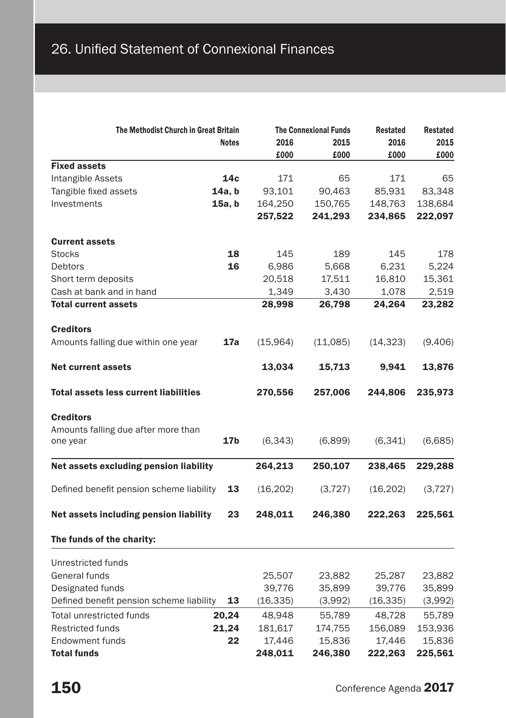| The Methodist Church in Great Britain        |              | <b>The Connexional Funds</b> |          | Restated  | <b>Restated</b> |
|----------------------------------------------|--------------|------------------------------|----------|-----------|-----------------|
|                                              | <b>Notes</b> | 2016                         | 2015     | 2016      | 2015            |
|                                              |              | £000                         | £000     | £000      | £000            |
| <b>Fixed assets</b>                          |              |                              |          |           |                 |
| Intangible Assets                            | 14c          | 171                          | 65       | 171       | 65              |
| Tangible fixed assets                        | 14a, b       | 93,101                       | 90,463   | 85,931    | 83,348          |
| Investments                                  | 15a, b       | 164,250                      | 150,765  | 148,763   | 138,684         |
|                                              |              | 257,522                      | 241,293  | 234,865   | 222,097         |
| <b>Current assets</b>                        |              |                              |          |           |                 |
| <b>Stocks</b>                                | 18           | 145                          | 189      | 145       | 178             |
| Debtors                                      | 16           | 6,986                        | 5,668    | 6,231     | 5,224           |
| Short term deposits                          |              | 20,518                       | 17,511   | 16,810    | 15,361          |
| Cash at bank and in hand                     |              | 1,349                        | 3,430    | 1,078     | 2,519           |
| <b>Total current assets</b>                  |              | 28,998                       | 26,798   | 24,264    | 23,282          |
|                                              |              |                              |          |           |                 |
| <b>Creditors</b>                             |              |                              |          |           |                 |
| Amounts falling due within one year          | 17a          | (15.964)                     | (11,085) | (14, 323) | (9,406)         |
| <b>Net current assets</b>                    |              | 13,034                       | 15,713   | 9,941     | 13,876          |
| <b>Total assets less current liabilities</b> |              | 270.556                      | 257,006  | 244,806   | 235,973         |
| <b>Creditors</b>                             |              |                              |          |           |                 |
| Amounts falling due after more than          |              |                              |          |           |                 |
| one year                                     | 17b          | (6, 343)                     | (6,899)  | (6,341)   | (6,685)         |
|                                              |              |                              |          |           |                 |
| Net assets excluding pension liability       |              | 264,213                      | 250,107  | 238,465   | 229,288         |
| Defined benefit pension scheme liability     | 13           | (16, 202)                    | (3, 727) | (16, 202) | (3, 727)        |
|                                              |              |                              |          |           |                 |
| Net assets including pension liability       | 23           | 248,011                      | 246,380  | 222,263   | 225,561         |
| The funds of the charity:                    |              |                              |          |           |                 |
| Unrestricted funds                           |              |                              |          |           |                 |
| General funds                                |              | 25,507                       | 23,882   | 25,287    | 23,882          |
| Designated funds                             |              | 39,776                       | 35,899   | 39,776    | 35,899          |
| Defined benefit pension scheme liability     | 13           | (16, 335)                    | (3,992)  | (16, 335) | (3,992)         |
| <b>Total unrestricted funds</b>              | 20,24        | 48,948                       | 55,789   | 48,728    | 55,789          |
| <b>Restricted funds</b>                      | 21,24        | 181,617                      | 174,755  | 156,089   | 153,936         |
| Endowment funds                              | 22           | 17,446                       | 15,836   | 17,446    | 15,836          |
| <b>Total funds</b>                           |              | 248,011                      | 246,380  | 222,263   | 225,561         |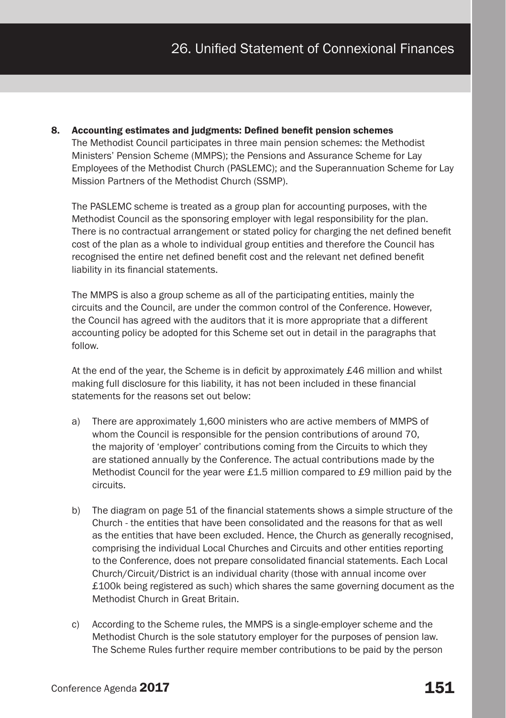8. Accounting estimates and judgments: Defined benefit pension schemes The Methodist Council participates in three main pension schemes: the Methodist Ministers' Pension Scheme (MMPS); the Pensions and Assurance Scheme for Lay Employees of the Methodist Church (PASLEMC); and the Superannuation Scheme for Lay Mission Partners of the Methodist Church (SSMP).

The PASLEMC scheme is treated as a group plan for accounting purposes, with the Methodist Council as the sponsoring employer with legal responsibility for the plan. There is no contractual arrangement or stated policy for charging the net defined benefit cost of the plan as a whole to individual group entities and therefore the Council has recognised the entire net defined benefit cost and the relevant net defined benefit liability in its financial statements.

The MMPS is also a group scheme as all of the participating entities, mainly the circuits and the Council, are under the common control of the Conference. However, the Council has agreed with the auditors that it is more appropriate that a different accounting policy be adopted for this Scheme set out in detail in the paragraphs that follow.

At the end of the year, the Scheme is in deficit by approximately £46 million and whilst making full disclosure for this liability, it has not been included in these financial statements for the reasons set out below:

- a) There are approximately 1,600 ministers who are active members of MMPS of whom the Council is responsible for the pension contributions of around 70, the majority of 'employer' contributions coming from the Circuits to which they are stationed annually by the Conference. The actual contributions made by the Methodist Council for the year were £1.5 million compared to £9 million paid by the circuits.
- b) The diagram on page 51 of the financial statements shows a simple structure of the Church - the entities that have been consolidated and the reasons for that as well as the entities that have been excluded. Hence, the Church as generally recognised, comprising the individual Local Churches and Circuits and other entities reporting to the Conference, does not prepare consolidated financial statements. Each Local Church/Circuit/District is an individual charity (those with annual income over £100k being registered as such) which shares the same governing document as the Methodist Church in Great Britain.
- c) According to the Scheme rules, the MMPS is a single-employer scheme and the Methodist Church is the sole statutory employer for the purposes of pension law. The Scheme Rules further require member contributions to be paid by the person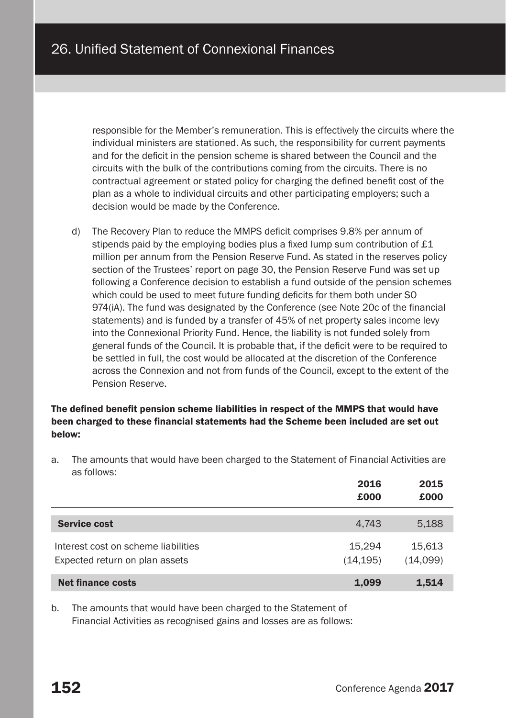responsible for the Member's remuneration. This is effectively the circuits where the individual ministers are stationed. As such, the responsibility for current payments and for the deficit in the pension scheme is shared between the Council and the circuits with the bulk of the contributions coming from the circuits. There is no contractual agreement or stated policy for charging the defined benefit cost of the plan as a whole to individual circuits and other participating employers; such a decision would be made by the Conference.

d) The Recovery Plan to reduce the MMPS deficit comprises 9.8% per annum of stipends paid by the employing bodies plus a fixed lump sum contribution of £1 million per annum from the Pension Reserve Fund. As stated in the reserves policy section of the Trustees' report on page 30, the Pension Reserve Fund was set up following a Conference decision to establish a fund outside of the pension schemes which could be used to meet future funding deficits for them both under SO 974(iA). The fund was designated by the Conference (see Note 20c of the financial statements) and is funded by a transfer of 45% of net property sales income levy into the Connexional Priority Fund. Hence, the liability is not funded solely from general funds of the Council. It is probable that, if the deficit were to be required to be settled in full, the cost would be allocated at the discretion of the Conference across the Connexion and not from funds of the Council, except to the extent of the Pension Reserve.

## The defined benefit pension scheme liabilities in respect of the MMPS that would have been charged to these financial statements had the Scheme been included are set out below:

a. The amounts that would have been charged to the Statement of Financial Activities are as follows:

|                                                                       | 2016<br>£000       | 2015<br>£000       |
|-----------------------------------------------------------------------|--------------------|--------------------|
| <b>Service cost</b>                                                   | 4.743              | 5,188              |
| Interest cost on scheme liabilities<br>Expected return on plan assets | 15.294<br>(14.195) | 15.613<br>(14,099) |
| <b>Net finance costs</b>                                              | 1,099              | 1,514              |

b. The amounts that would have been charged to the Statement of Financial Activities as recognised gains and losses are as follows: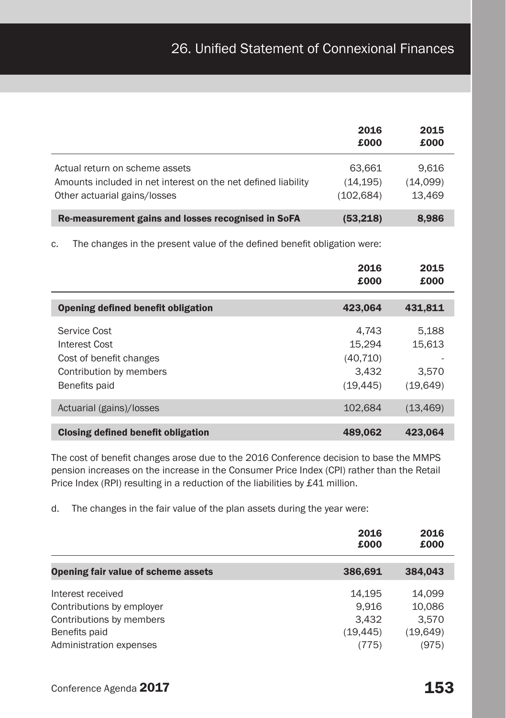|                                                                                                                                 | 2016<br>£000                    | 2015<br>£000                |
|---------------------------------------------------------------------------------------------------------------------------------|---------------------------------|-----------------------------|
| Actual return on scheme assets<br>Amounts included in net interest on the net defined liability<br>Other actuarial gains/losses | 63.661<br>(14.195)<br>(102.684) | 9.616<br>(14,099)<br>13.469 |
| Re-measurement gains and losses recognised in SoFA                                                                              | (53,218)                        | 8.986                       |

c. The changes in the present value of the defined benefit obligation were:

|                                    | 2016<br>£000 | 2015<br>£000 |
|------------------------------------|--------------|--------------|
| Opening defined benefit obligation | 423,064      | 431,811      |
|                                    |              |              |
| Service Cost                       | 4.743        | 5.188        |
| Interest Cost                      | 15.294       | 15,613       |
| Cost of benefit changes            | (40, 710)    |              |
| Contribution by members            | 3.432        | 3.570        |
| Benefits paid                      | (19, 445)    | (19,649)     |
| Actuarial (gains)/losses           | 102.684      | (13, 469)    |
|                                    |              |              |
| Closing defined benefit obligation | 489,062      | 423.064      |

The cost of benefit changes arose due to the 2016 Conference decision to base the MMPS pension increases on the increase in the Consumer Price Index (CPI) rather than the Retail Price Index (RPI) resulting in a reduction of the liabilities by £41 million.

d. The changes in the fair value of the plan assets during the year were:

|                                                | 2016<br>£000       | 2016<br>£000      |
|------------------------------------------------|--------------------|-------------------|
| Opening fair value of scheme assets            | 386,691            | 384,043           |
| Interest received<br>Contributions by employer | 14.195<br>9.916    | 14,099<br>10,086  |
| Contributions by members                       | 3.432              | 3,570             |
| Benefits paid<br>Administration expenses       | (19, 445)<br>(775) | (19,649)<br>(975) |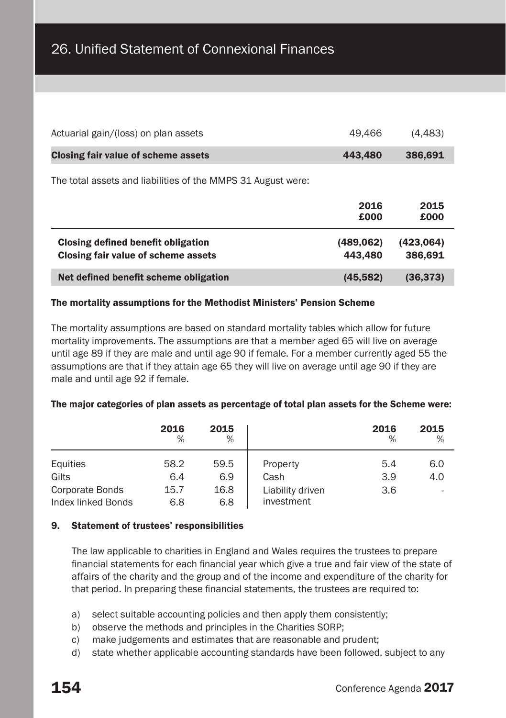| Net defined benefit scheme obligation                        | (45, 582)    | (36, 373)    |
|--------------------------------------------------------------|--------------|--------------|
| Closing fair value of scheme assets                          | 443,480      | 386,691      |
| Closing defined benefit obligation                           | (489.062)    | (423,064)    |
|                                                              | 2016<br>£000 | 2015<br>£000 |
| The total assets and liabilities of the MMPS 31 August were: |              |              |
| Closing fair value of scheme assets                          | 443,480      | 386,691      |
| Actuarial gain/(loss) on plan assets                         | 49.466       | (4, 483)     |

#### The mortality assumptions for the Methodist Ministers' Pension Scheme

The mortality assumptions are based on standard mortality tables which allow for future mortality improvements. The assumptions are that a member aged 65 will live on average until age 89 if they are male and until age 90 if female. For a member currently aged 55 the assumptions are that if they attain age 65 they will live on average until age 90 if they are male and until age 92 if female.

#### The major categories of plan assets as percentage of total plan assets for the Scheme were:

|                                       | 2016<br>%   | 2015<br>%   |                                | 2016<br>$\%$ | 2015<br>$\%$ |
|---------------------------------------|-------------|-------------|--------------------------------|--------------|--------------|
| Equities<br>Gilts                     | 58.2<br>6.4 | 59.5<br>6.9 | Property<br>Cash               | 5.4<br>3.9   | 6.0<br>4.0   |
| Corporate Bonds<br>Index linked Bonds | 15.7<br>6.8 | 16.8<br>6.8 | Liability driven<br>investment | 3.6          |              |

#### 9. Statement of trustees' responsibilities

The law applicable to charities in England and Wales requires the trustees to prepare financial statements for each financial year which give a true and fair view of the state of affairs of the charity and the group and of the income and expenditure of the charity for that period. In preparing these financial statements, the trustees are required to:

- a) select suitable accounting policies and then apply them consistently;
- b) observe the methods and principles in the Charities SORP;
- c) make judgements and estimates that are reasonable and prudent;
- d) state whether applicable accounting standards have been followed, subject to any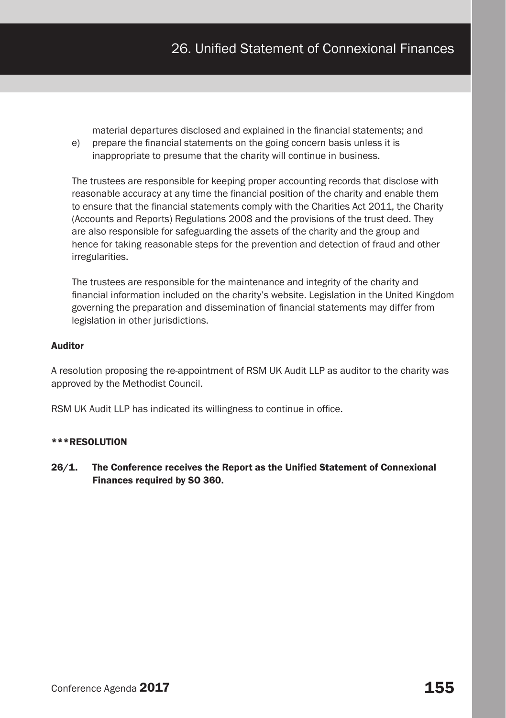material departures disclosed and explained in the financial statements; and

e) prepare the financial statements on the going concern basis unless it is inappropriate to presume that the charity will continue in business.

The trustees are responsible for keeping proper accounting records that disclose with reasonable accuracy at any time the financial position of the charity and enable them to ensure that the financial statements comply with the Charities Act 2011, the Charity (Accounts and Reports) Regulations 2008 and the provisions of the trust deed. They are also responsible for safeguarding the assets of the charity and the group and hence for taking reasonable steps for the prevention and detection of fraud and other irregularities.

The trustees are responsible for the maintenance and integrity of the charity and financial information included on the charity's website. Legislation in the United Kingdom governing the preparation and dissemination of financial statements may differ from legislation in other jurisdictions.

# Auditor

A resolution proposing the re-appointment of RSM UK Audit LLP as auditor to the charity was approved by the Methodist Council.

RSM UK Audit LLP has indicated its willingness to continue in office.

#### \*\*\*RESOLUTION

26/1. The Conference receives the Report as the Unified Statement of Connexional Finances required by SO 360.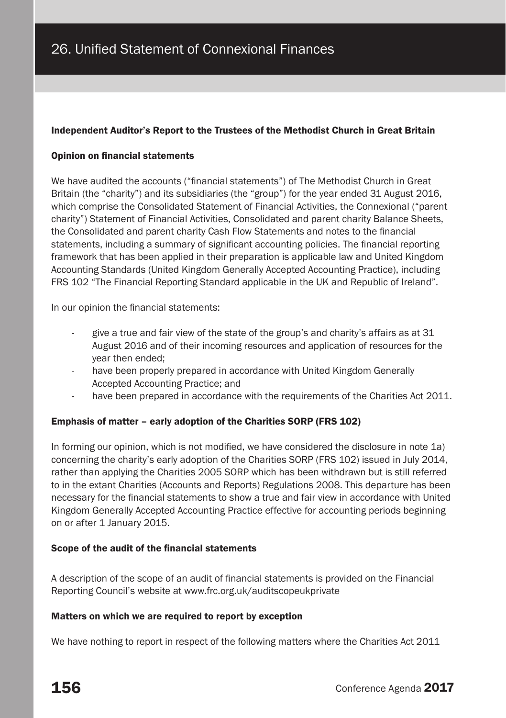## Independent Auditor's Report to the Trustees of the Methodist Church in Great Britain

#### Opinion on financial statements

We have audited the accounts ("financial statements") of The Methodist Church in Great Britain (the "charity") and its subsidiaries (the "group") for the year ended 31 August 2016, which comprise the Consolidated Statement of Financial Activities, the Connexional ("parent charity") Statement of Financial Activities, Consolidated and parent charity Balance Sheets, the Consolidated and parent charity Cash Flow Statements and notes to the financial statements, including a summary of significant accounting policies. The financial reporting framework that has been applied in their preparation is applicable law and United Kingdom Accounting Standards (United Kingdom Generally Accepted Accounting Practice), including FRS 102 "The Financial Reporting Standard applicable in the UK and Republic of Ireland".

In our opinion the financial statements:

- give a true and fair view of the state of the group's and charity's affairs as at 31 August 2016 and of their incoming resources and application of resources for the year then ended;
- have been properly prepared in accordance with United Kingdom Generally Accepted Accounting Practice; and
- have been prepared in accordance with the requirements of the Charities Act 2011.

#### Emphasis of matter – early adoption of the Charities SORP (FRS 102)

In forming our opinion, which is not modified, we have considered the disclosure in note 1a) concerning the charity's early adoption of the Charities SORP (FRS 102) issued in July 2014, rather than applying the Charities 2005 SORP which has been withdrawn but is still referred to in the extant Charities (Accounts and Reports) Regulations 2008. This departure has been necessary for the financial statements to show a true and fair view in accordance with United Kingdom Generally Accepted Accounting Practice effective for accounting periods beginning on or after 1 January 2015.

#### Scope of the audit of the financial statements

A description of the scope of an audit of financial statements is provided on the Financial Reporting Council's website at www.frc.org.uk/auditscopeukprivate

#### Matters on which we are required to report by exception

We have nothing to report in respect of the following matters where the Charities Act 2011